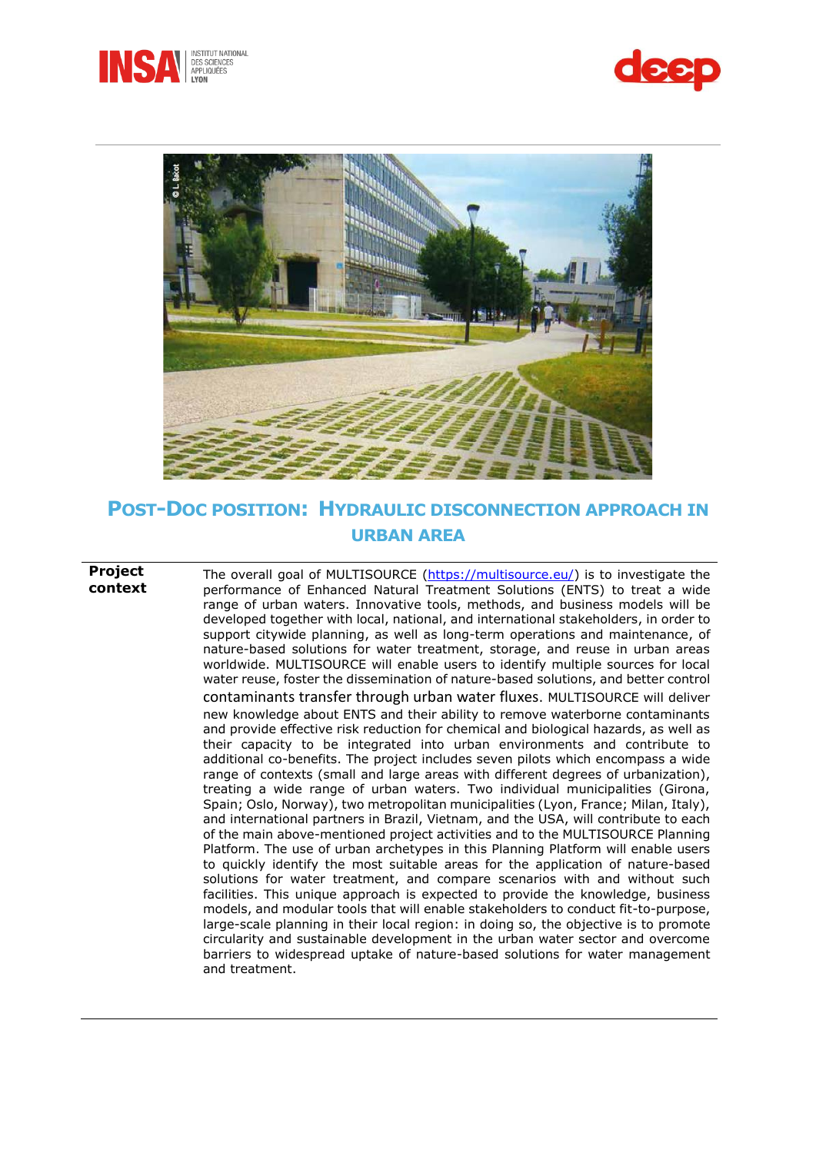





## **POST-DOC POSITION: HYDRAULIC DISCONNECTION APPROACH IN URBAN AREA**

**Project context** The overall goal of MULTISOURCE [\(https://multisource.eu/\)](https://multisource.eu/) is to investigate the performance of Enhanced Natural Treatment Solutions (ENTS) to treat a wide range of urban waters. Innovative tools, methods, and business models will be developed together with local, national, and international stakeholders, in order to support citywide planning, as well as long-term operations and maintenance, of nature-based solutions for water treatment, storage, and reuse in urban areas worldwide. MULTISOURCE will enable users to identify multiple sources for local water reuse, foster the dissemination of nature-based solutions, and better control contaminants transfer through urban water fluxes. MULTISOURCE will deliver new knowledge about ENTS and their ability to remove waterborne contaminants and provide effective risk reduction for chemical and biological hazards, as well as their capacity to be integrated into urban environments and contribute to additional co-benefits. The project includes seven pilots which encompass a wide range of contexts (small and large areas with different degrees of urbanization), treating a wide range of urban waters. Two individual municipalities (Girona, Spain; Oslo, Norway), two metropolitan municipalities (Lyon, France; Milan, Italy), and international partners in Brazil, Vietnam, and the USA, will contribute to each of the main above-mentioned project activities and to the MULTISOURCE Planning Platform. The use of urban archetypes in this Planning Platform will enable users to quickly identify the most suitable areas for the application of nature-based solutions for water treatment, and compare scenarios with and without such facilities. This unique approach is expected to provide the knowledge, business models, and modular tools that will enable stakeholders to conduct fit-to-purpose, large-scale planning in their local region: in doing so, the objective is to promote circularity and sustainable development in the urban water sector and overcome barriers to widespread uptake of nature-based solutions for water management and treatment.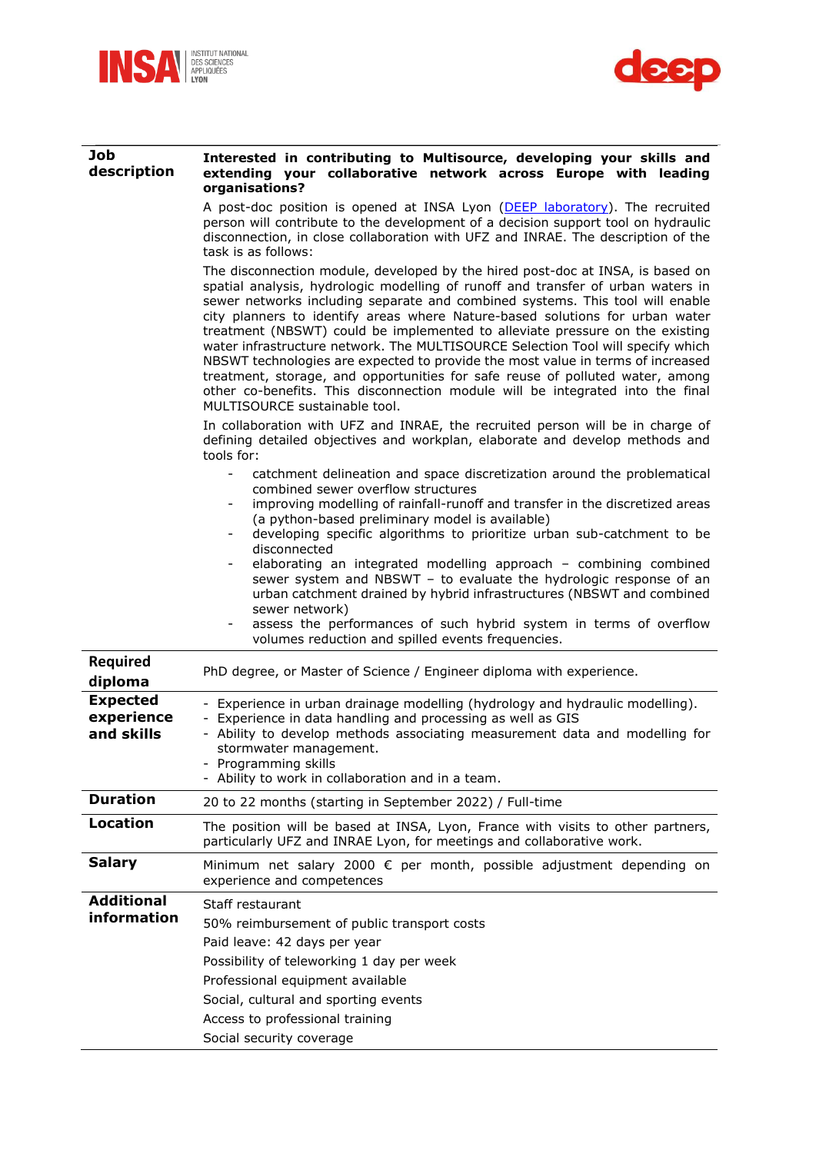



| Job<br>description                          | Interested in contributing to Multisource, developing your skills and<br>extending your collaborative network across Europe with leading<br>organisations?                                                                                                                                                                                                                                                                                                                                                                                                                                                                                                                                                                                                                                    |
|---------------------------------------------|-----------------------------------------------------------------------------------------------------------------------------------------------------------------------------------------------------------------------------------------------------------------------------------------------------------------------------------------------------------------------------------------------------------------------------------------------------------------------------------------------------------------------------------------------------------------------------------------------------------------------------------------------------------------------------------------------------------------------------------------------------------------------------------------------|
|                                             | A post-doc position is opened at INSA Lyon (DEEP laboratory). The recruited<br>person will contribute to the development of a decision support tool on hydraulic<br>disconnection, in close collaboration with UFZ and INRAE. The description of the<br>task is as follows:                                                                                                                                                                                                                                                                                                                                                                                                                                                                                                                   |
|                                             | The disconnection module, developed by the hired post-doc at INSA, is based on<br>spatial analysis, hydrologic modelling of runoff and transfer of urban waters in<br>sewer networks including separate and combined systems. This tool will enable<br>city planners to identify areas where Nature-based solutions for urban water<br>treatment (NBSWT) could be implemented to alleviate pressure on the existing<br>water infrastructure network. The MULTISOURCE Selection Tool will specify which<br>NBSWT technologies are expected to provide the most value in terms of increased<br>treatment, storage, and opportunities for safe reuse of polluted water, among<br>other co-benefits. This disconnection module will be integrated into the final<br>MULTISOURCE sustainable tool. |
|                                             | In collaboration with UFZ and INRAE, the recruited person will be in charge of<br>defining detailed objectives and workplan, elaborate and develop methods and<br>tools for:                                                                                                                                                                                                                                                                                                                                                                                                                                                                                                                                                                                                                  |
|                                             | catchment delineation and space discretization around the problematical<br>combined sewer overflow structures<br>improving modelling of rainfall-runoff and transfer in the discretized areas<br>$\overline{\phantom{0}}$<br>(a python-based preliminary model is available)                                                                                                                                                                                                                                                                                                                                                                                                                                                                                                                  |
|                                             | developing specific algorithms to prioritize urban sub-catchment to be                                                                                                                                                                                                                                                                                                                                                                                                                                                                                                                                                                                                                                                                                                                        |
|                                             | disconnected<br>elaborating an integrated modelling approach - combining combined<br>sewer system and NBSWT - to evaluate the hydrologic response of an<br>urban catchment drained by hybrid infrastructures (NBSWT and combined<br>sewer network)<br>assess the performances of such hybrid system in terms of overflow<br>volumes reduction and spilled events frequencies.                                                                                                                                                                                                                                                                                                                                                                                                                 |
| <b>Required</b><br>diploma                  | PhD degree, or Master of Science / Engineer diploma with experience.                                                                                                                                                                                                                                                                                                                                                                                                                                                                                                                                                                                                                                                                                                                          |
| <b>Expected</b><br>experience<br>and skills | - Experience in urban drainage modelling (hydrology and hydraulic modelling).<br>Experience in data handling and processing as well as GIS<br>- Ability to develop methods associating measurement data and modelling for<br>stormwater management.<br>- Programming skills<br>Ability to work in collaboration and in a team.                                                                                                                                                                                                                                                                                                                                                                                                                                                                |
| <b>Duration</b>                             | 20 to 22 months (starting in September 2022) / Full-time                                                                                                                                                                                                                                                                                                                                                                                                                                                                                                                                                                                                                                                                                                                                      |
| <b>Location</b>                             | The position will be based at INSA, Lyon, France with visits to other partners,<br>particularly UFZ and INRAE Lyon, for meetings and collaborative work.                                                                                                                                                                                                                                                                                                                                                                                                                                                                                                                                                                                                                                      |
| <b>Salary</b>                               | Minimum net salary 2000 € per month, possible adjustment depending on<br>experience and competences                                                                                                                                                                                                                                                                                                                                                                                                                                                                                                                                                                                                                                                                                           |
| <b>Additional</b>                           | Staff restaurant                                                                                                                                                                                                                                                                                                                                                                                                                                                                                                                                                                                                                                                                                                                                                                              |
| information                                 | 50% reimbursement of public transport costs                                                                                                                                                                                                                                                                                                                                                                                                                                                                                                                                                                                                                                                                                                                                                   |
|                                             | Paid leave: 42 days per year                                                                                                                                                                                                                                                                                                                                                                                                                                                                                                                                                                                                                                                                                                                                                                  |
|                                             | Possibility of teleworking 1 day per week                                                                                                                                                                                                                                                                                                                                                                                                                                                                                                                                                                                                                                                                                                                                                     |
|                                             | Professional equipment available                                                                                                                                                                                                                                                                                                                                                                                                                                                                                                                                                                                                                                                                                                                                                              |
|                                             | Social, cultural and sporting events                                                                                                                                                                                                                                                                                                                                                                                                                                                                                                                                                                                                                                                                                                                                                          |
|                                             | Access to professional training                                                                                                                                                                                                                                                                                                                                                                                                                                                                                                                                                                                                                                                                                                                                                               |
|                                             | Social security coverage                                                                                                                                                                                                                                                                                                                                                                                                                                                                                                                                                                                                                                                                                                                                                                      |